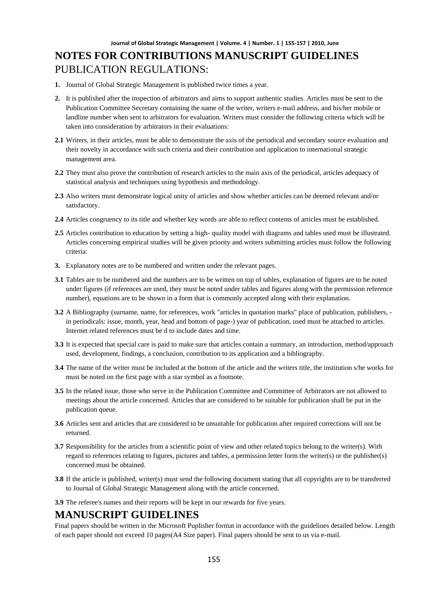# **NOTES FOR CONTRIBUTIONS MANUSCRIPT GUIDELINES** PUBLICATION REGULATIONS:

- **1.** Journal of Global Strategic Management is published twice times a year.
- **2.** It is published after the inspection of arbitrators and aims to support authentic studies. Articles must be sent to the Publication Committee Secretary containing the name of the writer, writers e-mail address, and his/her mobile or landline number when sent to arbitrators for evaluation. Writers must consider the following criteria which will be taken into consideration by arbitrators in their evaluations:
- **2.1** Writers, in their articles, must be able to demonstrate the axis of the periodical and secondary source evaluation and their novelty in accordance with such criteria and their contribution and application to international strategic management area.
- **2.2** They must also prove the contribution of research articles to the main axis of the periodical, articles adequacy of statistical analysis and techniques using hypothesis and methodology.
- **2.3** Also writers must demonstrate logical unity of articles and show whether articles can be deemed relevant and/or satisfactory.
- **2.4** Articles congruency to its title and whether key words are able to reflect contents of articles must be established.
- **2.5** Articles contribution to education by setting a high- quality model with diagrams and tables used must be illustrated. Articles concerning empirical studies will be given priority and writers submitting articles must follow the following criteria:
- **3.** Explanatory notes are to be numbered and written under the relevant pages.
- **3.1** Tables are to be numbered and the numbers are to be written on top of tables, explanation of figures are to be noted under figures (if references are used, they must be noted under tables and figures along with the permission reference number), equations are to be shown in a form that is commonly accepted along with their explanation.
- **3.2** A Bibliography (surname, name, for references, work "articles in quotation marks" place of publication, publishers, in periodicals: issue, month, year, head and bottom of page-) year of publication, used must be attached to articles. Internet related references must be d to include dates and time.
- **3.3** It is expected that special care is paid to make sure that articles contain a summary, an introduction, method/approach used, development, findings, a conclusion, contribution to its application and a bibliography.
- **3.4** The name of the writer must be included at the bottom of the article and the writers title, the institution s/he works for must be noted on the first page with a star symbol as a footnote.
- **3.5** In the related issue, those who serve in the Publication Committee and Committee of Arbitrators are not allowed to meetings about the article concerned. Articles that are considered to be suitable for publication shall be put in the publication queue.
- **3.6** Articles sent and articles that are considered to be unsuitable for publication after required corrections will not be returned.
- **3.7** Responsibility for the articles from a scientific point of view and other related topics belong to the writer(s). With regard to references relating to figures, pictures and tables, a permission letter form the writer(s) or the publisher(s) concerned must be obtained.
- **3.8** If the article is published, writer(s) must send the following document stating that all copyrights are to be transferred to Journal of Global Strategic Management along with the article concerned.
- **3.9** The referee's names and their reports will be kept in our rewards for five years.

#### **MANUSCRIPT GUIDELINES**

Final papers should be written in the Microsoft Puplisher format in accordance with the guidelines detailed below. Length of each paper should not exceed 10 pages(A4 Size paper). Final papers should be sent to us via e-mail.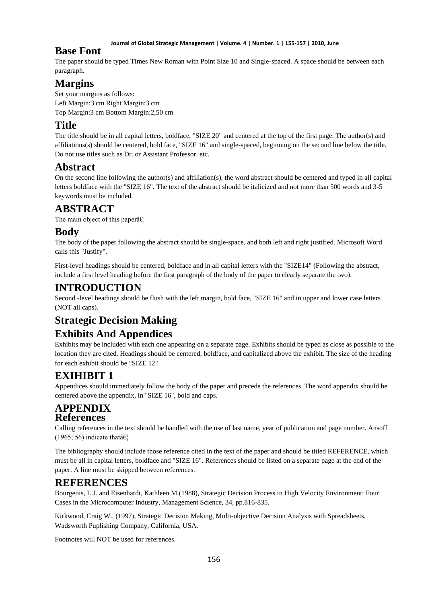#### **Journal of Global Strategic Management | Volume. 4 | Number. 1 | 155-157 | 2010, June**

## **Base Font**

The paper should be typed Times New Roman with Point Size 10 and Single-spaced. A space should be between each paragraph.

# **Margins**

Set your margins as follows: Left Margin:3 cm Right Margin:3 cm Top Margin:3 cm Bottom Margin:2,50 cm

# **Title**

The title should be in all capital letters, boldface, "SIZE 20" and centered at the top of the first page. The author(s) and affiliations(s) should be centered, bold face, "SIZE 16" and single-spaced, beginning on the second line below the title. Do not use titles such as Dr. or Assistant Professor. etc.

# **Abstract**

On the second line following the author(s) and affiliation(s), the word abstract should be centered and typed in all capital letters boldface with the "SIZE 16". The text of the abstract should be italicized and not more than 500 words and 3-5 keywords must be included.

# **ABSTRACT**

The main object of this paper $\hat{a} \in \mathcal{C}_1$ 

## **Body**

The body of the paper following the abstract should be single-space, and both left and right justified. Microsoft Word calls this "Justify".

First-level headings should be centered, boldface and in all capital letters with the "SIZE14" (Following the abstract, include a first level heading before the first paragraph of the body of the paper to clearly separate the two).

## **INTRODUCTION**

Second -level headings should be flush with the left margin, bold face, "SIZE 16" and in upper and lower case letters (NOT all caps).

# **Strategic Decision Making**

# **Exhibits And Appendices**

Exhibits may be included with each one appearing on a separate page. Exhibits should be typed as close as possible to the location they are cited. Headings should be centered, boldface, and capitalized above the exhibit. The size of the heading for each exhibit should be "SIZE 12".

# **EXIHIBIT 1**

Appendices should immediately follow the body of the paper and precede the references. The word appendix should be centered above the appendix, in "SIZE 16", bold and caps.

## **APPENDIX References**

Calling references in the text should be handled with the use of last name, year of publication and page number. Ansoff (1965; 56) indicate that  $\hat{\mathbf{a}} \in \mathbb{R}^n$ 

The bibliography should include those reference cited in the text of the paper and should be titled REFERENCE, which must be all in capital letters, boldface and "SIZE 16". References should be listed on a separate page at the end of the paper. A line must be skipped between references.

# **REFERENCES**

Bourgeois, L.J. and Eisenhardt, Kathleen M.(1988), Strategic Decision Process in High Velocity Environment: Four Cases in the Microcomputer Industry, Management Science, 34, pp.816-835.

Kirkwood, Craig W., (1997), Strategic Decision Making, Multi-objective Decision Analysis with Spreadsheets, Wadsworth Puplishing Company, California, USA.

Footnotes will NOT be used for references.